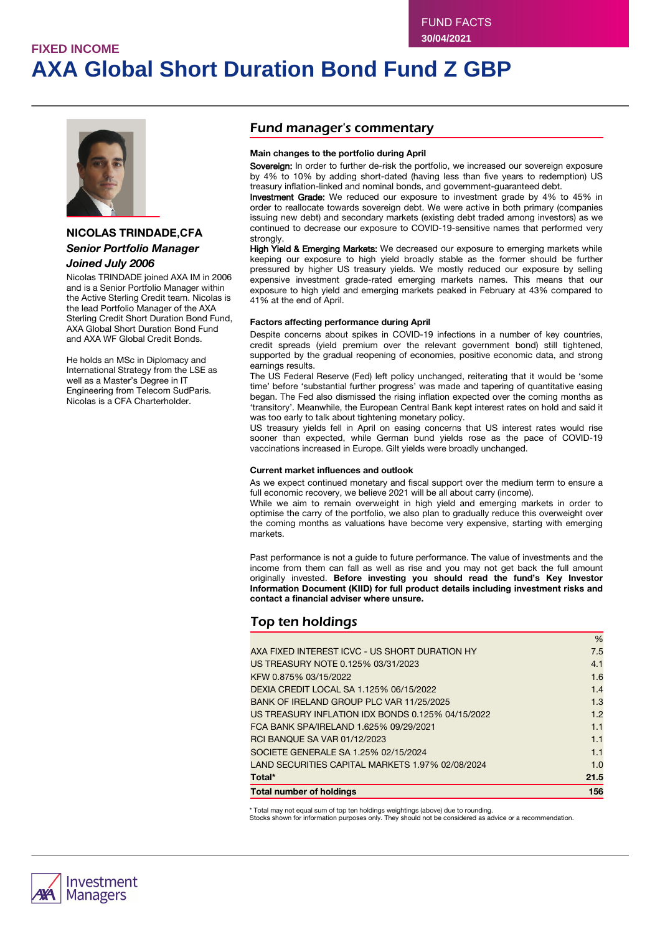# **FIXED INCOME AXA Global Short Duration Bond Fund Z GBP**



### **NICOLAS TRINDADE,CFA** *Senior Portfolio Manager Joined July 2006*

#### Nicolas TRINDADE joined AXA IM in 2006 and is a Senior Portfolio Manager within the Active Sterling Credit team. Nicolas is the lead Portfolio Manager of the AXA Sterling Credit Short Duration Bond Fund, AXA Global Short Duration Bond Fund

He holds an MSc in Diplomacy and International Strategy from the LSE as well as a Master's Degree in IT Engineering from Telecom SudParis. Nicolas is a CFA Charterholder.

and AXA WF Global Credit Bonds.

### Fund manager's commentary

#### **Main changes to the portfolio during April**

Sovereign: In order to further de-risk the portfolio, we increased our sovereign exposure by 4% to 10% by adding short-dated (having less than five years to redemption) US treasury inflation-linked and nominal bonds, and government-guaranteed debt.

Investment Grade: We reduced our exposure to investment grade by 4% to 45% in order to reallocate towards sovereign debt. We were active in both primary (companies issuing new debt) and secondary markets (existing debt traded among investors) as we continued to decrease our exposure to COVID-19-sensitive names that performed very strongly

High Yield & Emerging Markets: We decreased our exposure to emerging markets while keeping our exposure to high yield broadly stable as the former should be further pressured by higher US treasury yields. We mostly reduced our exposure by selling expensive investment grade-rated emerging markets names. This means that our exposure to high yield and emerging markets peaked in February at 43% compared to 41% at the end of April.

#### **Factors affecting performance during April**

Despite concerns about spikes in COVID-19 infections in a number of key countries, credit spreads (yield premium over the relevant government bond) still tightened, supported by the gradual reopening of economies, positive economic data, and strong earnings results.

The US Federal Reserve (Fed) left policy unchanged, reiterating that it would be 'some time' before 'substantial further progress' was made and tapering of quantitative easing began. The Fed also dismissed the rising inflation expected over the coming months as 'transitory'. Meanwhile, the European Central Bank kept interest rates on hold and said it was too early to talk about tightening monetary policy.

US treasury yields fell in April on easing concerns that US interest rates would rise sooner than expected, while German bund yields rose as the pace of COVID-19 vaccinations increased in Europe. Gilt yields were broadly unchanged.

#### **Current market influences and outlook**

As we expect continued monetary and fiscal support over the medium term to ensure a full economic recovery, we believe 2021 will be all about carry (income).

While we aim to remain overweight in high yield and emerging markets in order to optimise the carry of the portfolio, we also plan to gradually reduce this overweight over the coming months as valuations have become very expensive, starting with emerging markets.

Past performance is not a guide to future performance. The value of investments and the income from them can fall as well as rise and you may not get back the full amount originally invested. **Before investing you should read the fund's Key Investor Information Document (KIID) for full product details including investment risks and contact a financial adviser where unsure.**

 $\overline{N}$ 

## Top ten holdings

| <b>Total number of holdings</b>                   | 156  |
|---------------------------------------------------|------|
| Total*                                            | 21.5 |
| LAND SECURITIES CAPITAL MARKETS 1.97% 02/08/2024  | 1.0  |
| SOCIETE GENERALE SA 1.25% 02/15/2024              | 1.1  |
| <b>RCI BANQUE SA VAR 01/12/2023</b>               | 1.1  |
| FCA BANK SPA/IRELAND 1.625% 09/29/2021            | 1.1  |
| US TREASURY INFLATION IDX BONDS 0.125% 04/15/2022 | 1.2  |
| BANK OF IRELAND GROUP PLC VAR 11/25/2025          | 1.3  |
| DEXIA CREDIT LOCAL SA 1.125% 06/15/2022           | 1.4  |
| KFW 0.875% 03/15/2022                             | 1.6  |
| US TREASURY NOTE 0.125% 03/31/2023                | 4.1  |
| AXA FIXED INTEREST ICVC - US SHORT DURATION HY    | 7.5  |
|                                                   | 70   |

\* Total may not equal sum of top ten holdings weightings (above) due to rounding.

Stocks shown for information purposes only. They should not be considered as advice or a recommendation.